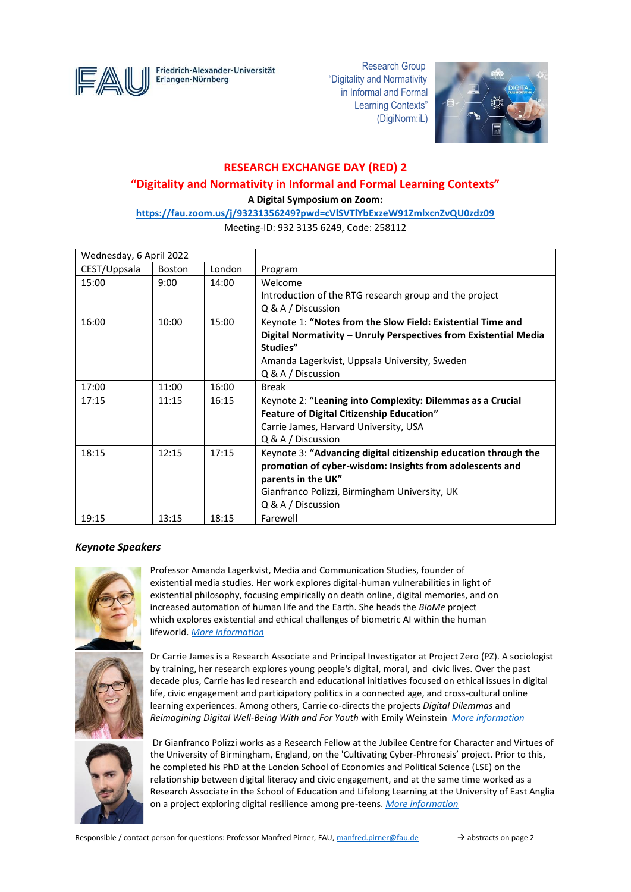

Erlangen-Nürnberg

Friedrich-Alexander-Universität <a>
Research Group</a>
Research Group</a> "Digitality and Normativity in Informal and Formal Learning Contexts" (DigiNorm:iL)



## **RESEARCH EXCHANGE DAY (RED) 2**

# **"Digitality and Normativity in Informal and Formal Learning Contexts"**

**A Digital Symposium on Zoom:** 

**<https://fau.zoom.us/j/93231356249?pwd=cVlSVTlYbExzeW91ZmlxcnZvQU0zdz09>**

Meeting-ID: 932 3135 6249, Code: 258112

| Wednesday, 6 April 2022 |               |        |                                                                  |
|-------------------------|---------------|--------|------------------------------------------------------------------|
| CEST/Uppsala            | <b>Boston</b> | London | Program                                                          |
| 15:00                   | 9:00          | 14:00  | Welcome                                                          |
|                         |               |        | Introduction of the RTG research group and the project           |
|                         |               |        | $Q & A /$ Discussion                                             |
| 16:00                   | 10:00         | 15:00  | Keynote 1: "Notes from the Slow Field: Existential Time and      |
|                         |               |        | Digital Normativity - Unruly Perspectives from Existential Media |
|                         |               |        | Studies"                                                         |
|                         |               |        | Amanda Lagerkvist, Uppsala University, Sweden                    |
|                         |               |        | Q & A / Discussion                                               |
| 17:00                   | 11:00         | 16:00  | <b>Break</b>                                                     |
| 17:15                   | 11:15         | 16:15  | Keynote 2: "Leaning into Complexity: Dilemmas as a Crucial       |
|                         |               |        | <b>Feature of Digital Citizenship Education"</b>                 |
|                         |               |        | Carrie James, Harvard University, USA                            |
|                         |               |        | Q & A / Discussion                                               |
| 18:15                   | 12:15         | 17:15  | Keynote 3: "Advancing digital citizenship education through the  |
|                         |               |        | promotion of cyber-wisdom: Insights from adolescents and         |
|                         |               |        | parents in the UK"                                               |
|                         |               |        | Gianfranco Polizzi, Birmingham University, UK                    |
|                         |               |        | Q & A / Discussion                                               |
| 19:15                   | 13:15         | 18:15  | Farewell                                                         |

## *Keynote Speakers*



Professor Amanda Lagerkvist, Media and Communication Studies, founder of existential media studies. Her work explores digital-human vulnerabilities in light of existential philosophy, focusing empirically on death online, digital memories, and on increased automation of human life and the Earth. She heads the *BioMe* project which explores existential and ethical challenges of biometric AI within the human lifeworld. *[More information](https://katalog.uu.se/profile/?id=N7-774)*



Dr Carrie James is a Research Associate and Principal Investigator at Project Zero (PZ). A sociologist by training, her research explores young people's digital, moral, and civic lives. Over the past decade plus, Carrie has led research and educational initiatives focused on ethical issues in digital life, civic engagement and participatory politics in a connected age, and cross-cultural online learning experiences. Among others, Carrie co-directs the projects *Digital Dilemmas* and *Reimagining Digital Well-Being With and For Youth* with Emily Weinstein *[More information](http://www.pz.harvard.edu/who-we-are/people/carrie-james)*



Dr Gianfranco Polizzi works as a Research Fellow at the Jubilee Centre for Character and Virtues of the University of Birmingham, England, on the 'Cultivating Cyber-Phronesis' project. Prior to this, he completed his PhD at the London School of Economics and Political Science (LSE) on the relationship between digital literacy and civic engagement, and at the same time worked as a Research Associate in the School of Education and Lifelong Learning at the University of East Anglia on a project exploring digital resilience among pre-teens. *[More information](https://www.jubileecentre.ac.uk/2890/about/meet-the-team/dr-gianfranco-polizzi)*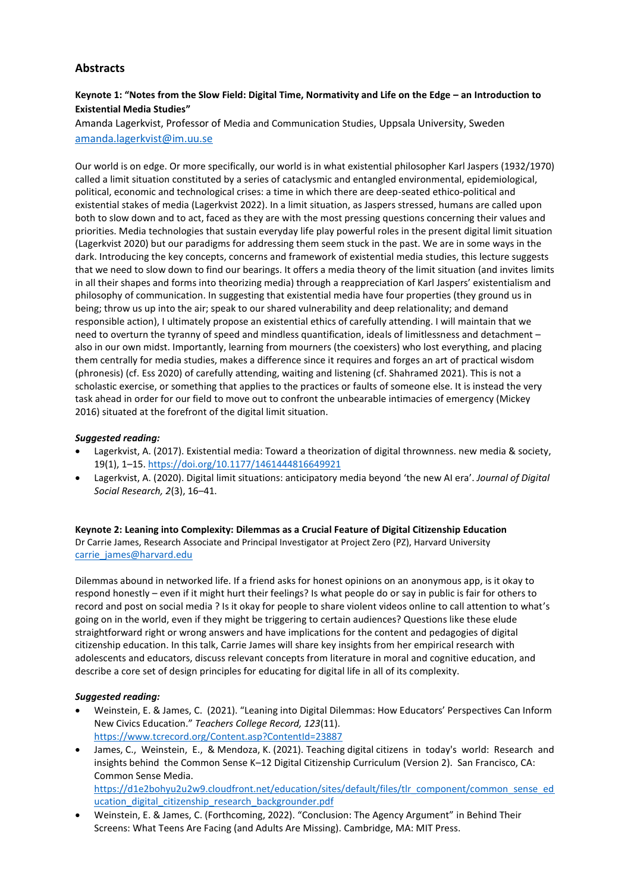## **Abstracts**

## **Keynote 1: "Notes from the Slow Field: Digital Time, Normativity and Life on the Edge – an Introduction to Existential Media Studies"**

Amanda Lagerkvist, Professor of Media and Communication Studies, Uppsala University, Sweden [amanda.lagerkvist@im.uu.se](mailto:amanda.lagerkvist@im.uu.se)

Our world is on edge. Or more specifically, our world is in what existential philosopher Karl Jaspers (1932/1970) called a limit situation constituted by a series of cataclysmic and entangled environmental, epidemiological, political, economic and technological crises: a time in which there are deep-seated ethico-political and existential stakes of media (Lagerkvist 2022). In a limit situation, as Jaspers stressed, humans are called upon both to slow down and to act, faced as they are with the most pressing questions concerning their values and priorities. Media technologies that sustain everyday life play powerful roles in the present digital limit situation (Lagerkvist 2020) but our paradigms for addressing them seem stuck in the past. We are in some ways in the dark. Introducing the key concepts, concerns and framework of existential media studies, this lecture suggests that we need to slow down to find our bearings. It offers a media theory of the limit situation (and invites limits in all their shapes and forms into theorizing media) through a reappreciation of Karl Jaspers' existentialism and philosophy of communication. In suggesting that existential media have four properties (they ground us in being; throw us up into the air; speak to our shared vulnerability and deep relationality; and demand responsible action), I ultimately propose an existential ethics of carefully attending. I will maintain that we need to overturn the tyranny of speed and mindless quantification, ideals of limitlessness and detachment – also in our own midst. Importantly, learning from mourners (the coexisters) who lost everything, and placing them centrally for media studies, makes a difference since it requires and forges an art of practical wisdom (phronesis) (cf. Ess 2020) of carefully attending, waiting and listening (cf. Shahramed 2021). This is not a scholastic exercise, or something that applies to the practices or faults of someone else. It is instead the very task ahead in order for our field to move out to confront the unbearable intimacies of emergency (Mickey 2016) situated at the forefront of the digital limit situation.

### *Suggested reading:*

- Lagerkvist, A. (2017). Existential media: Toward a theorization of digital thrownness. new media & society, 19(1), 1–15. <https://doi.org/10.1177/1461444816649921>
- Lagerkvist, A. (2020). Digital limit situations: anticipatory media beyond 'the new AI era'. *Journal of Digital Social Research, 2*(3), 16–41.

**Keynote 2: Leaning into Complexity: Dilemmas as a Crucial Feature of Digital Citizenship Education** Dr Carrie James, Research Associate and Principal Investigator at Project Zero (PZ), Harvard University [carrie\\_james@harvard.edu](mailto:carrie_james@harvard.edu)

Dilemmas abound in networked life. If a friend asks for honest opinions on an anonymous app, is it okay to respond honestly – even if it might hurt their feelings? Is what people do or say in public is fair for others to record and post on social media ? Is it okay for people to share violent videos online to call attention to what's going on in the world, even if they might be triggering to certain audiences? Questions like these elude straightforward right or wrong answers and have implications for the content and pedagogies of digital citizenship education. In this talk, Carrie James will share key insights from her empirical research with adolescents and educators, discuss relevant concepts from literature in moral and cognitive education, and describe a core set of design principles for educating for digital life in all of its complexity.

### *Suggested reading:*

- Weinstein, E. & James, C. (2021). "Leaning into Digital Dilemmas: How Educators' Perspectives Can Inform New Civics Education." *Teachers College Record, 123*(11). <https://www.tcrecord.org/Content.asp?ContentId=23887>
- James, C., Weinstein, E., & Mendoza, K. (2021). Teaching digital citizens in today's world: Research and insights behind the Common Sense K–12 Digital Citizenship Curriculum (Version 2). San Francisco, CA: Common Sense Media. [https://d1e2bohyu2u2w9.cloudfront.net/education/sites/default/files/tlr\\_component/common\\_sense\\_ed](https://d1e2bohyu2u2w9.cloudfront.net/education/sites/default/files/tlr_component/common_sense_education_digital_citizenship_research_backgrounder.pdf) ucation digital citizenship research backgrounder.pdf
- Weinstein, E. & James, C. (Forthcoming, 2022). "Conclusion: The Agency Argument" in Behind Their Screens: What Teens Are Facing (and Adults Are Missing). Cambridge, MA: MIT Press.